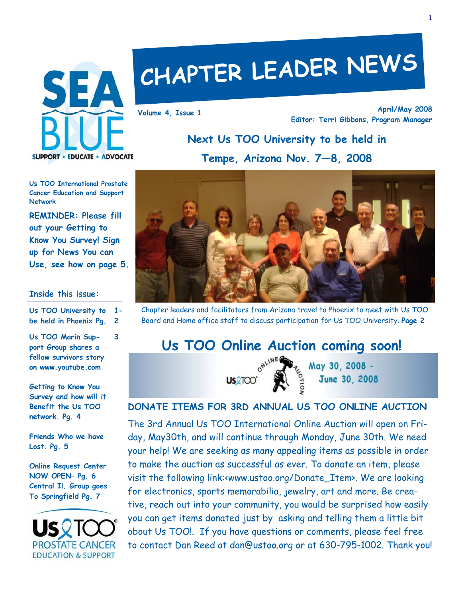

## **CHAPTER LEADER NEWS**

**April/May 2008 Editor: Terri Gibbons, Program Manager Volume 4, Issue 1** 

## **Next Us TOO University to be held in**

**Tempe, Arizona Nov. 7—8, 2008** 

**Us TOO International Prostate Cancer Education and Support Network** 

**REMINDER: Please fill out your Getting to Know You Survey! Sign up for News You can Use, see how on page 5.** 

#### **Inside this issue:**

**Us TOO University to be held in Phoenix Pg. 1- 2** 

**3** 

**Us TOO Marin Support Group shares a fellow survivors story on www.youtube.com** 

**Getting to Know You Survey and how will it Benefit the Us TOO network. Pg. 4** 

**Friends Who we have Lost. Pg. 5** 

**Online Request Center NOW OPEN– Pg. 6 Central Il. Group goes To Springfield Pg. 7** 





Chapter leaders and facilitators from Arizona travel to Phoenix to meet with Us TOO Board and Home office staff to discuss participation for Us TOO University. **Page 2**

# **Us TOO Online Auction coming soon!**<br> **US** TOO Online  $\sum_{\substack{0^{N^{1/N}} \leq N_{\text{avg}} \\ \text{USQTOO}}} \sum_{\substack{u \leq N_{\text{avg}} \\ \text{SVDO}} \sum_{\substack{u \leq N_{\text{avg}} \\ \text{SVDO}} \sum_{\substack{u \leq N_{\text{avg}} \\ \text{SVDO}} \sum_{\substack{u \leq N_{\text{avg}} \\ \text{SVDO}} \sum_{\substack{u \leq N_{\text{avg}} \\ \text{SVDO}} \sum_{\$



June 30, 2008

## **DONATE ITEMS FOR 3RD ANNUAL US TOO ONLINE AUCTION**

The 3rd Annual Us TOO International Online Auction will open on Friday, May30th, and will continue through Monday, June 30th. We need your help! We are seeking as many appealing items as possible in order to make the auction as successful as ever. To donate an item, please visit the following link:<www.ustoo.org/Donate\_Item>. We are looking for electronics, sports memorabilia, jewelry, art and more. Be creative, reach out into your community, you would be surprised how easily you can get items donated just by asking and telling them a little bit obout Us TOO!. If you have questions or comments, please feel free to contact Dan Reed at dan@ustoo.org or at 630-795-1002. Thank you!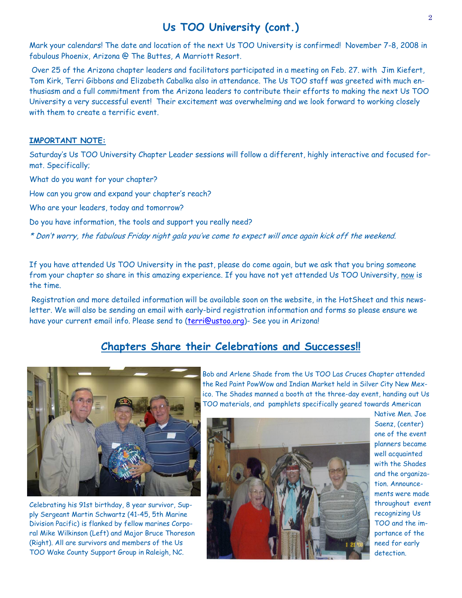## **Us TOO University (cont.)**

Mark your calendars! The date and location of the next Us TOO University is confirmed! November 7-8, 2008 in fabulous Phoenix, Arizona @ The Buttes, A Marriott Resort.

 Over 25 of the Arizona chapter leaders and facilitators participated in a meeting on Feb. 27. with Jim Kiefert, Tom Kirk, Terri Gibbons and Elizabeth Cabalka also in attendance. The Us TOO staff was greeted with much enthusiasm and a full commitment from the Arizona leaders to contribute their efforts to making the next Us TOO University a very successful event! Their excitement was overwhelming and we look forward to working closely with them to create a terrific event.

#### **IMPORTANT NOTE:**

Saturday's Us TOO University Chapter Leader sessions will follow a different, highly interactive and focused format. Specifically;

What do you want for your chapter?

How can you grow and expand your chapter's reach?

Who are your leaders, today and tomorrow?

Do you have information, the tools and support you really need?

\* Don't worry, the fabulous Friday night gala you've come to expect will once again kick off the weekend.

If you have attended Us TOO University in the past, please do come again, but we ask that you bring someone from your chapter so share in this amazing experience. If you have not yet attended Us TOO University, now is the time.

 Registration and more detailed information will be available soon on the website, in the HotSheet and this newsletter. We will also be sending an email with early-bird registration information and forms so please ensure we have your current email info. Please send to (terri@ustoo.org)- See you in Arizona!

## **Chapters Share their Celebrations and Successes!!**



Celebrating his 91st birthday, 8 year survivor, Supply Sergeant Martin Schwartz (41-45, 5th Marine Division Pacific) is flanked by fellow marines Corporal Mike Wilkinson (Left) and Major Bruce Thoreson (Right). All are survivors and members of the Us TOO Wake County Support Group in Raleigh, NC.

Bob and Arlene Shade from the Us TOO Las Cruces Chapter attended the Red Paint PowWow and Indian Market held in Silver City New Mexico. The Shades manned a booth at the three-day event, handing out Us TOO materials, and pamphlets specifically geared towards American



Native Men. Joe Saenz, (center) one of the event planners became well acquainted with the Shades and the organization. Announcements were made throughout event recognizing Us TOO and the importance of the need for early detection.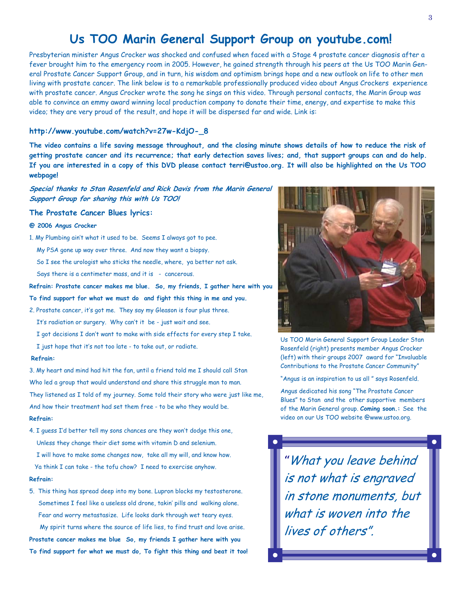## **Us TOO Marin General Support Group on youtube.com!**

Presbyterian minister Angus Crocker was shocked and confused when faced with a Stage 4 prostate cancer diagnosis after a fever brought him to the emergency room in 2005. However, he gained strength through his peers at the Us TOO Marin General Prostate Cancer Support Group, and in turn, his wisdom and optimism brings hope and a new outlook on life to other men living with prostate cancer. The link below is to a remarkable professionally produced video about Angus Crockers experience with prostate cancer. Angus Crocker wrote the song he sings on this video. Through personal contacts, the Marin Group was able to convince an emmy award winning local production company to donate their time, energy, and expertise to make this video; they are very proud of the result, and hope it will be dispersed far and wide. Link is:

#### **http://www.youtube.com/watch?v=27w-KdjO-\_8**

**The video contains a life saving message throughout, and the closing minute shows details of how to reduce the risk of getting prostate cancer and its recurrence; that early detection saves lives; and, that support groups can and do help. If you are interested in a copy of this DVD please contact terri@ustoo.org. It will also be highlighted on the Us TOO webpage!** 

**Special thanks to Stan Rosenfeld and Rick Davis from the Marin General Support Group for sharing this with Us TOO!** 

#### **The Prostate Cancer Blues lyrics:**

#### **@ 2006 Angus Crocker**

- 1. My Plumbing ain't what it used to be. Seems I always got to pee.
	- My PSA gone up way over three. And now they want a biopsy.
	- So I see the urologist who sticks the needle, where, ya better not ask.
	- Says there is a centimeter mass, and it is cancerous.

#### **Refrain: Prostate cancer makes me blue. So, my friends, I gather here with you**

**To find support for what we must do and fight this thing in me and you.** 

- 2. Prostate cancer, it's got me. They say my Gleason is four plus three.
	- It's radiation or surgery. Why can't it be just wait and see.
	- I got decisions I don't want to make with side effects for every step I take.
	- I just hope that it's not too late to take out, or radiate.

#### **Refrain:**

3. My heart and mind had hit the fan, until a friend told me I should call Stan Who led a group that would understand and share this struggle man to man. They listened as I told of my journey. Some told their story who were just like me, And how their treatment had set them free - to be who they would be.

#### **Refrain:**

4. I guess I'd better tell my sons chances are they won't dodge this one, Unless they change their diet some with vitamin D and selenium. I will have to make some changes now, take all my will, and know how. Ya think I can take - the tofu chow? I need to exercise anyhow.

#### **Refrain:**

5. This thing has spread deep into my bone. Lupron blocks my testosterone. Sometimes I feel like a useless old drone, takin' pills and walking alone. Fear and worry metastasize. Life looks dark through wet teary eyes. My spirit turns where the source of life lies, to find trust and love arise. **Prostate cancer makes me blue So, my friends I gather here with you To find support for what we must do, To fight this thing and beat it too!** 



Us TOO Marin General Support Group Leader Stan Rosenfeld (right) presents member Angus Crocker (left) with their groups 2007 award for "Invaluable Contributions to the Prostate Cancer Community"

"Angus is an inspiration to us all " says Rosenfeld.

Angus dedicated his song "The Prostate Cancer Blues" to Stan and the other supportive members of the Marin General group. **Coming soon.:** See the video on our Us TOO website @www.ustoo.org.

*"*What you leave behind is not what is engraved in stone monuments, but what is woven into the lives of others".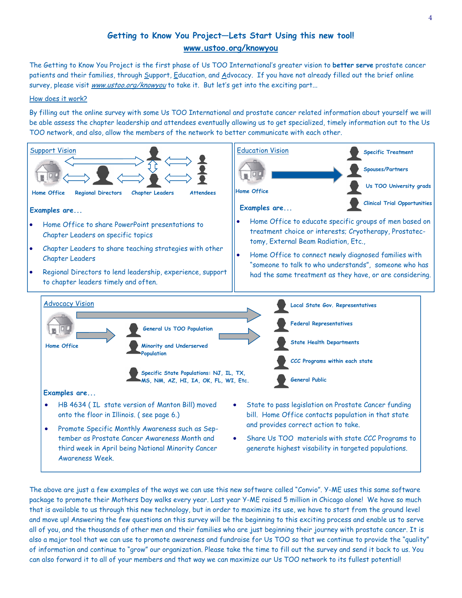## **Getting to Know You Project—Lets Start Using this new tool! www.ustoo.org/knowyou**

The Getting to Know You Project is the first phase of Us TOO International's greater vision to **better serve** prostate cancer patients and their families, through Support, Education, and Advocacy. If you have not already filled out the brief online survey, please visit www.ustoo.org/knowyou to take it. But let's get into the exciting part...

#### How does it work?

By filling out the online survey with some Us TOO International and prostate cancer related information about yourself we will be able assess the chapter leadership and attendees eventually allowing us to get specialized, timely information out to the Us TOO network, and also, allow the members of the network to better communicate with each other.



The above are just a few examples of the ways we can use this new software called "Convio". Y-ME uses this same software package to promote their Mothers Day walks every year. Last year Y-ME raised 5 million in Chicago alone! We have so much that is available to us through this new technology, but in order to maximize its use, we have to start from the ground level and move up! Answering the few questions on this survey will be the beginning to this exciting process and enable us to serve all of you, and the thousands of other men and their families who are just beginning their journey with prostate cancer. It is also a major tool that we can use to promote awareness and fundraise for Us TOO so that we continue to provide the "quality" of information and continue to "grow" our organization. Please take the time to fill out the survey and send it back to us. You can also forward it to all of your members and that way we can maximize our Us TOO network to its fullest potential!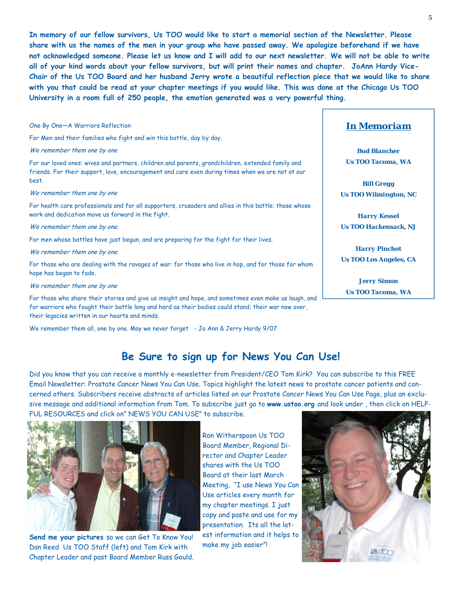**In memory of our fellow survivors, Us TOO would like to start a memorial section of the Newsletter. Please share with us the names of the men in your group who have passed away. We apologize beforehand if we have not acknowledged someone. Please let us know and I will add to our next newsletter. We will not be able to write all of your kind words about your fellow survivors, but will print their names and chapter. JoAnn Hardy Vice-Chair of the Us TOO Board and her husband Jerry wrote a beautiful reflection piece that we would like to share with you that could be read at your chapter meetings if you would like. This was done at the Chicago Us TOO University in a room full of 250 people, the emotion generated was a very powerful thing.** 

#### One By One—A Warriors Reflection

For Men and their families who fight and win this battle, day by day.

#### We remember them one by one

For our loved ones: wives and partners, children and parents, grandchildren, extended family and friends. For their support, love, encouragement and care even during times when we are not at our best.

#### We remember them one by one

For health care professionals and for all supporters, crusaders and allies in this battle: those whose work and dedication move us forward in the fight.

We remember them one by one.

For men whose battles have just begun, and are preparing for the fight for their lives.

We remember them one by one.

For those who are dealing with the ravages of war: for those who live in hop, and for those for whom hope has began to fade.

We remember them one by one

For those who share their stories and give us insight and hope, and sometimes even make us laugh, and for warriors who fought their battle long and hard as their bodies could stand; their war now over, their legacies written in our hearts and minds.

We remember them all, one by one. May we never forget - Jo Ann & Jerry Hardy 9/07

#### *In Memoriam*

*Bud Blancher Us TOO Tacoma, WA* 

*Bill Gregg Us TOO Wilmington, NC* 

*Harry Kessel Us TOO Hackensack, NJ* 

*Harry Pinchot Us TOO Los Angeles, CA* 

*Jerry Simon Us TOO Tacoma, WA* 

## **Be Sure to sign up for News You Can Use!**

Did you know that you can receive a monthly e-newsletter from President/CEO Tom Kirk? You can subscribe to this FREE Email Newsletter: Prostate Cancer News You Can Use. Topics highlight the latest news to prostate cancer patients and concerned others. Subscribers receive abstracts of articles listed on our Prostate Cancer News You Can Use Page, plus an exclusive message and additional information from Tom. To subscribe just go to **www.ustoo.org** and look under , then click on HELP-FUL RESOURCES and click on" NEWS YOU CAN USE" to subscribe.



**Send me your pictures** so we can Get To Know You! Dan Reed Us TOO Staff (left) and Tom Kirk with Chapter Leader and past Board Member Russ Gould.

Ron Witherspoon Us TOO Board Member, Regional Director and Chapter Leader shares with the Us TOO Board at their last March Meeting, "I use News You Can Use articles every month for my chapter meetings. I just copy and paste and use for my presentation. Its all the latest information and it helps to make my job easier"!

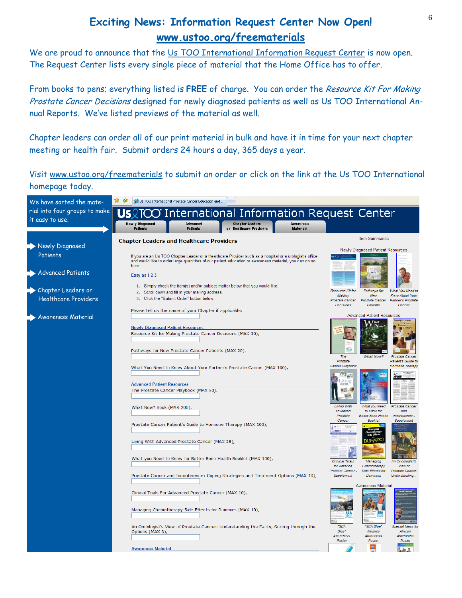## **Exciting News: Information Request Center Now Open! www.ustoo.org/freematerials**

We are proud to announce that the Us TOO International Information Request Center is now open. The Request Center lists every single piece of material that the Home Office has to offer.

From books to pens; everything listed is **FREE** of charge. You can order the Resource Kit For Making Prostate Cancer Decisions designed for newly diagnosed patients as well as Us TOO International Annual Reports. We've listed previews of the material as well.

Chapter leaders can order all of our print material in bulk and have it in time for your next chapter meeting or health fair. Submit orders 24 hours a day, 365 days a year.

Visit www.ustoo.org/freematerials to submit an order or click on the link at the Us TOO International homepage today.

| We have sorted the mate-                          |                                                                                                                                                                                                                            | (Us TOO International Prostate Cancer Education and                                           |                                                                                       |                               |                                                            |                                                           |                                                                                   |  |
|---------------------------------------------------|----------------------------------------------------------------------------------------------------------------------------------------------------------------------------------------------------------------------------|-----------------------------------------------------------------------------------------------|---------------------------------------------------------------------------------------|-------------------------------|------------------------------------------------------------|-----------------------------------------------------------|-----------------------------------------------------------------------------------|--|
| rial into four groups to make<br>it easy to use.  | Us                                                                                                                                                                                                                         |                                                                                               | <b>International Information Request Center</b>                                       |                               |                                                            |                                                           |                                                                                   |  |
|                                                   | <b>Newly Diagnosed</b><br><b>Patients</b>                                                                                                                                                                                  | Advanced<br><b>Patients</b>                                                                   | <b>Chapter Leaders</b><br>or Healthcare Providers                                     | Awareness<br><b>Materials</b> |                                                            |                                                           |                                                                                   |  |
|                                                   | <b>Chapter Leaders and Healthcare Providers</b>                                                                                                                                                                            |                                                                                               |                                                                                       |                               |                                                            | <b>Item Summaries</b>                                     |                                                                                   |  |
| <b>Newly Diagnosed</b><br>Patients                | If you are an Us TOO Chapter Leader or a Healthcare Provider such as a hospital or a urologist's office<br>and would like to order large quanitites of our patient education or awareness material, you can do so<br>here. |                                                                                               |                                                                                       |                               |                                                            | Newly Diagnosed Patient Resources                         |                                                                                   |  |
| <b>Advanced Patients</b>                          | Easy as 1 2 3!                                                                                                                                                                                                             |                                                                                               |                                                                                       |                               |                                                            |                                                           |                                                                                   |  |
| Chapter Leaders or<br><b>Healthcare Providers</b> |                                                                                                                                                                                                                            | 2. Scroll down and fill in your mailing address.<br>3. Click the "Submit Order" button below. | 1. Simply check the item(s) and/or subject matter below that you would like.          |                               | Resource Kit for<br>Making<br>Prostate Cancer<br>Decisions | Pathways for<br>New<br>Prostate Cancer<br>Patients        | <b>What You Need to</b><br><b>Know About Your</b><br>Partner's Prostate<br>Cancer |  |
| Awareness Material                                | Please tell us the name of your Chapter if applicable:                                                                                                                                                                     |                                                                                               |                                                                                       |                               |                                                            | <b>Advanced Patient Resources</b>                         |                                                                                   |  |
|                                                   | <b>Newly Diagnosed Patient Resources</b>                                                                                                                                                                                   | Resource Kit for Making Prostate Cancer Decisions (MAX 10),                                   |                                                                                       |                               |                                                            |                                                           |                                                                                   |  |
|                                                   |                                                                                                                                                                                                                            | Pathways for New Prostate Cancer Patients (MAX 20),                                           |                                                                                       |                               | The                                                        | What Now?                                                 | Prostate Cancer                                                                   |  |
|                                                   |                                                                                                                                                                                                                            |                                                                                               | What You Need to Know About Your Partner's Prostate Cancer (MAX 100),                 |                               | Prostate<br>Cancer Playbook<br><b>JVHE</b>                 |                                                           | Patient's Guide to<br>Hormone Therapy                                             |  |
|                                                   | <b>Advanced Patient Resources</b>                                                                                                                                                                                          | The Prostate Cancer Playbook (MAX 50),                                                        |                                                                                       |                               | w                                                          |                                                           |                                                                                   |  |
|                                                   | What Now? Book (MAX 200),                                                                                                                                                                                                  |                                                                                               |                                                                                       |                               | <b>Living With</b><br>Advanced<br>Prostate                 | What you Need<br>to Know for<br><b>Better Bone Health</b> | Prostate Cancer<br>and<br>Incontinence -                                          |  |
|                                                   |                                                                                                                                                                                                                            |                                                                                               | Prostate Cancer Patient's Guide to Hormone Therapy (MAX 100),                         |                               | Cancer<br><b>UK TOO</b>                                    | <b>Booklet</b>                                            | Supplement                                                                        |  |
|                                                   |                                                                                                                                                                                                                            | Living With Advanced Prostate Cancer (MAX 25),                                                |                                                                                       |                               |                                                            |                                                           |                                                                                   |  |
|                                                   |                                                                                                                                                                                                                            |                                                                                               | What you Need to Know for Better Bone Health Booklet (MAX 100),                       |                               | <b>Clinical Trials</b><br>for Advance                      | Managing<br>Chemotherapy                                  | An Oncologist's<br>View of                                                        |  |
|                                                   |                                                                                                                                                                                                                            |                                                                                               | Prostate Cancer and Incontinence: Coping Strategies and Treatment Options (MAX 10),   |                               | Prostate Cancer -<br>Supplement                            | Side Effects for<br><b>Dummies</b>                        | Prostate Cancer:<br>Understanding                                                 |  |
|                                                   |                                                                                                                                                                                                                            | Clinical Trials For Advanced Prostate Cancer (MAX 10),                                        |                                                                                       |                               |                                                            | <b>Awareness Material</b>                                 |                                                                                   |  |
|                                                   |                                                                                                                                                                                                                            | Managing Chemotherapy Side Effects for Dummies (MAX 10),                                      |                                                                                       |                               |                                                            |                                                           |                                                                                   |  |
|                                                   | Options (MAX 3),                                                                                                                                                                                                           |                                                                                               | An Oncologist's View of Prostate Cancer: Understanding the Facts, Sorting through the |                               | "SEA<br>Blue*<br>Awareness                                 | "SEA Blue"<br>Minority<br>Awareness                       | Special News fo.<br>African<br>Americans                                          |  |
|                                                   | <b>Awareness Material</b>                                                                                                                                                                                                  |                                                                                               |                                                                                       |                               | Poster                                                     | Poster                                                    | Poster                                                                            |  |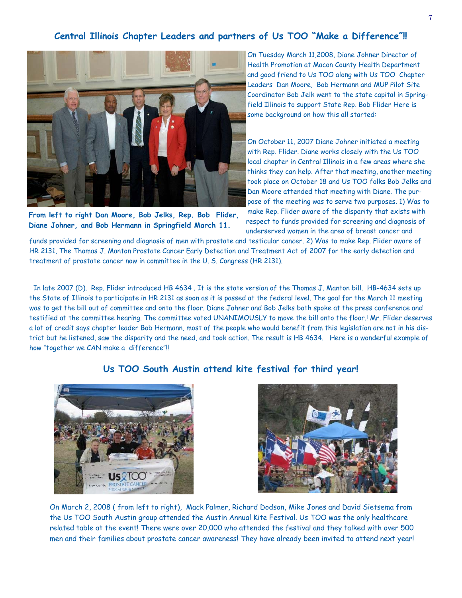#### **Central Illinois Chapter Leaders and partners of Us TOO "Make a Difference"!!**



**From left to right Dan Moore, Bob Jelks, Rep. Bob Flider, Diane Johner, and Bob Hermann in Springfield March 11.** 

On Tuesday March 11,2008, Diane Johner Director of Health Promotion at Macon County Health Department and good friend to Us TOO along with Us TOO Chapter Leaders Dan Moore, Bob Hermann and MUP Pilot Site Coordinator Bob Jelk went to the state capital in Springfield Illinois to support State Rep. Bob Flider Here is some background on how this all started:

On October 11, 2007 Diane Johner initiated a meeting with Rep. Flider. Diane works closely with the Us TOO local chapter in Central Illinois in a few areas where she thinks they can help. After that meeting, another meeting took place on October 18 and Us TOO folks Bob Jelks and Dan Moore attended that meeting with Diane. The purpose of the meeting was to serve two purposes. 1) Was to make Rep. Flider aware of the disparity that exists with respect to funds provided for screening and diagnosis of underserved women in the area of breast cancer and

funds provided for screening and diagnosis of men with prostate and testicular cancer. 2) Was to make Rep. Flider aware of HR 2131, The Thomas J. Manton Prostate Cancer Early Detection and Treatment Act of 2007 for the early detection and treatment of prostate cancer now in committee in the U. S. Congress (HR 2131).

 In late 2007 (D). Rep. Flider introduced HB 4634 . It is the state version of the Thomas J. Manton bill. HB-4634 sets up the State of Illinois to participate in HR 2131 as soon as it is passed at the federal level. The goal for the March 11 meeting was to get the bill out of committee and onto the floor. Diane Johner and Bob Jelks both spoke at the press conference and testified at the committee hearing. The committee voted UNANIMOUSLY to move the bill onto the floor.! Mr. Flider deserves a lot of credit says chapter leader Bob Hermann, most of the people who would benefit from this legislation are not in his district but he listened, saw the disparity and the need, and took action. The result is HB 4634. Here is a wonderful example of how "together we CAN make a difference"!!

## **Us TOO South Austin attend kite festival for third year!**





On March 2, 2008 ( from left to right), Mack Palmer, Richard Dodson, Mike Jones and David Sietsema from the Us TOO South Austin group attended the Austin Annual Kite Festival. Us TOO was the only healthcare related table at the event! There were over 20,000 who attended the festival and they talked with over 500 men and their families about prostate cancer awareness! They have already been invited to attend next year!